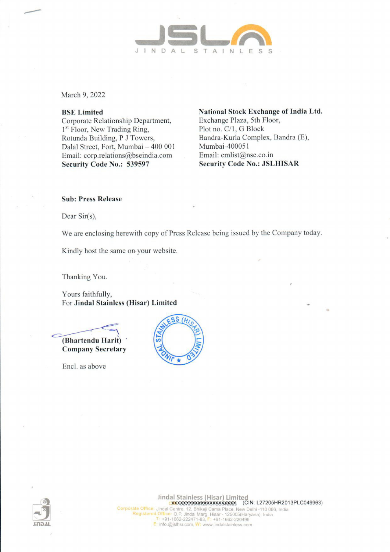

March 9, 2022

### BSE Limited

Corporate Relationship Department, 1<sup>st</sup> Floor, New Trading Ring, Rotunda Building, P J Towers, Dalal Street, Fort, Mumbai — 400 001 Email: corp.relations@bseindia.com Security Code No.: 539597

National Stock Exchange of India Ltd. Exchange Plaza, 5th Floor, Plot no. C/1, G Block Bandra-Kurla Complex, Bandra (E), Mumbai-40005 1 Email: cmlist@nse.co.in Security Code No.: JSLHISAR

#### Sub: Press Release

Dear Sir(s),

We are enclosing herewith copy of Press Release being issued by the Company today.

Kindly host the same on your website.

Thanking You.

Yours faithfully, For Jindal Stainless (Hisar) Limited

(Bhartendu Harit) Company Secretary

Encl. as above



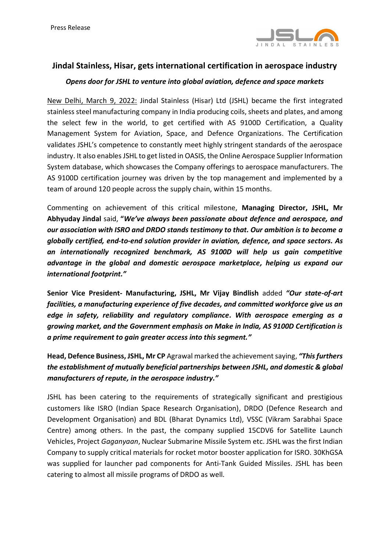

# **Jindal Stainless, Hisar, gets international certification in aerospace industry**

# *Opens door for JSHL to venture into global aviation, defence and space markets*

New Delhi, March 9, 2022: Jindal Stainless (Hisar) Ltd (JSHL) became the first integrated stainless steel manufacturing company in India producing coils, sheets and plates, and among the select few in the world, to get certified with AS 9100D Certification, a Quality Management System for Aviation, Space, and Defence Organizations. The Certification validates JSHL's competence to constantly meet highly stringent standards of the aerospace industry. It also enables JSHL to get listed in OASIS, the Online Aerospace Supplier Information System database, which showcases the Company offerings to aerospace manufacturers. The AS 9100D certification journey was driven by the top management and implemented by a team of around 120 people across the supply chain, within 15 months.

Commenting on achievement of this critical milestone, **Managing Director, JSHL, Mr Abhyuday Jindal** said, **"***We've always been passionate about defence and aerospace, and our association with ISRO and DRDO stands testimony to that. Our ambition is to become a globally certified, end-to-end solution provider in aviation, defence, and space sectors. As an internationally recognized benchmark, AS 9100D will help us gain competitive advantage in the global and domestic aerospace marketplace, helping us expand our international footprint."*

**Senior Vice President- Manufacturing, JSHL, Mr Vijay Bindlish** added *"Our state-of-art facilities, a manufacturing experience of five decades, and committed workforce give us an edge in safety, reliability and regulatory compliance. With aerospace emerging as a growing market, and the Government emphasis on Make in India, AS 9100D Certification is a prime requirement to gain greater access into this segment."*

**Head, Defence Business, JSHL, Mr CP** Agrawal marked the achievement saying, *"This furthers the establishment of mutually beneficial partnerships between JSHL, and domestic & global manufacturers of repute, in the aerospace industry."*

JSHL has been catering to the requirements of strategically significant and prestigious customers like ISRO (Indian Space Research Organisation), DRDO (Defence Research and Development Organisation) and BDL (Bharat Dynamics Ltd), VSSC (Vikram Sarabhai Space Centre) among others. In the past, the company supplied 15CDV6 for Satellite Launch Vehicles, Project *Gaganyaan*, Nuclear Submarine Missile System etc. JSHL was the first Indian Company to supply critical materials for rocket motor booster application for ISRO. 30KhGSA was supplied for launcher pad components for Anti-Tank Guided Missiles. JSHL has been catering to almost all missile programs of DRDO as well.